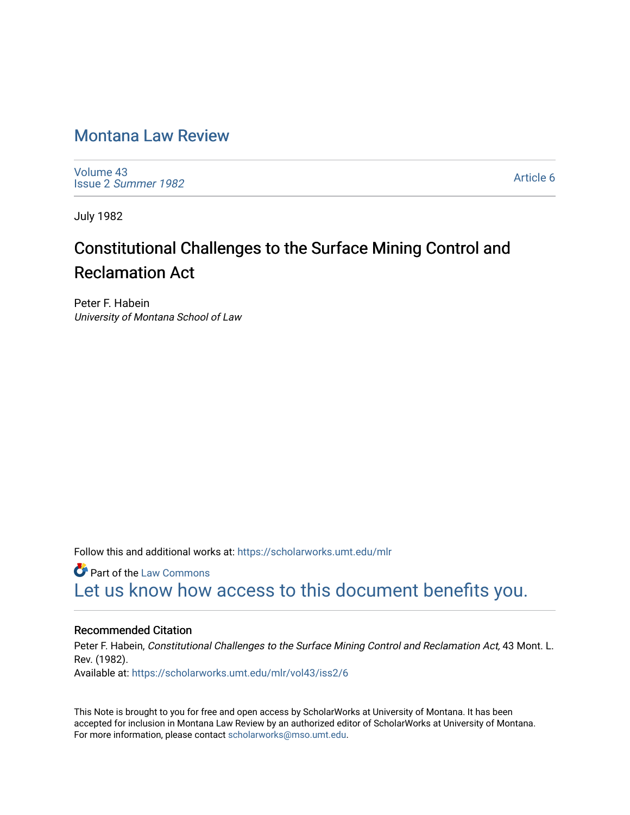## [Montana Law Review](https://scholarworks.umt.edu/mlr)

[Volume 43](https://scholarworks.umt.edu/mlr/vol43) Issue 2 [Summer 1982](https://scholarworks.umt.edu/mlr/vol43/iss2) 

[Article 6](https://scholarworks.umt.edu/mlr/vol43/iss2/6) 

July 1982

# Constitutional Challenges to the Surface Mining Control and Reclamation Act

Peter F. Habein University of Montana School of Law

Follow this and additional works at: [https://scholarworks.umt.edu/mlr](https://scholarworks.umt.edu/mlr?utm_source=scholarworks.umt.edu%2Fmlr%2Fvol43%2Fiss2%2F6&utm_medium=PDF&utm_campaign=PDFCoverPages) 

**C** Part of the [Law Commons](http://network.bepress.com/hgg/discipline/578?utm_source=scholarworks.umt.edu%2Fmlr%2Fvol43%2Fiss2%2F6&utm_medium=PDF&utm_campaign=PDFCoverPages) [Let us know how access to this document benefits you.](https://goo.gl/forms/s2rGfXOLzz71qgsB2) 

### Recommended Citation

Peter F. Habein, Constitutional Challenges to the Surface Mining Control and Reclamation Act, 43 Mont. L. Rev. (1982). Available at: [https://scholarworks.umt.edu/mlr/vol43/iss2/6](https://scholarworks.umt.edu/mlr/vol43/iss2/6?utm_source=scholarworks.umt.edu%2Fmlr%2Fvol43%2Fiss2%2F6&utm_medium=PDF&utm_campaign=PDFCoverPages) 

This Note is brought to you for free and open access by ScholarWorks at University of Montana. It has been accepted for inclusion in Montana Law Review by an authorized editor of ScholarWorks at University of Montana. For more information, please contact [scholarworks@mso.umt.edu.](mailto:scholarworks@mso.umt.edu)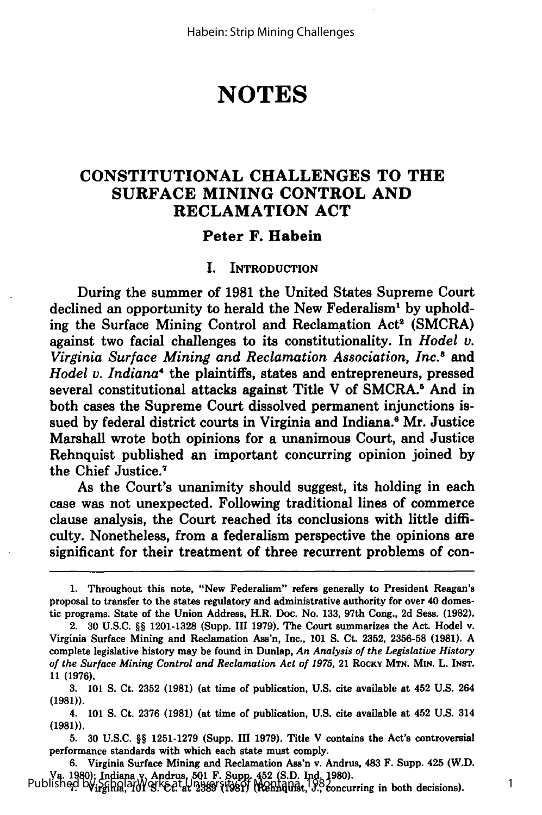## **NOTES**

## **CONSTITUTIONAL CHALLENGES TO THE SURFACE MINING CONTROL AND RECLAMATION ACT**

#### **Peter F. Habein**

#### **I. INTRODUCTION**

During the summer of **1981** the United States Supreme Court declined an opportunity to herald the New Federalism<sup>1</sup> by upholding the Surface Mining Control and Reclamation Act<sup>2</sup> (SMCRA) against two facial challenges to its constitutionality. In *Hodel v. Virginia Surface Mining and Reclamation Association, Inc.*<sup>8</sup> and *Hodel v. Indiana4* the plaintiffs, states and entrepreneurs, pressed several constitutional attacks against Title V of SMCRA.<sup>5</sup> And in both cases the Supreme Court dissolved permanent injunctions issued **by** federal district courts in Virginia and Indiana.' Mr. Justice Marshall wrote both opinions for a unanimous Court, and Justice Rehnquist published an important concurring opinion joined **by** the Chief Justice.7

As the Court's unanimity should suggest, its holding in each case was not unexpected. Following traditional lines of commerce clause analysis, the Court reached its conclusions with little difficulty. Nonetheless, from a federalism perspective the opinions are significant for their treatment of three recurrent problems of con-

4. 101 **S.** Ct. 2376 (1981) (at time of publication, **U.S.** cite available at 452 U.S. 314 **(1981)).**

**5. 30 U.S.C.** §§ **1251-1279** (Supp. **III 1979).** Title V contains the Act's controversial performance standards with which each state must comply.

**6.** Virginia Surface Mining and Reclamation Ass'n v. Andrus, 483 F. Supp. 425 (W.D. Va. 1980); Indiana y, Andrus, 501 F. Supp. 452 (S.D. Ind. 1980).<br>Published by<sub>irgin</sub>g of St. & Pays 1981; Indiana and St. 3. concurring in both decisions).

**<sup>1.</sup>** Throughout this note, "New Federalism" refers generally to President Reagan's proposal to transfer to the states regulatory and administrative authority for over 40 domestic programs. State of the Union Address, H.R. Doc. No. **133,** 97th Cong., **2d** Sess. **(1982).**

<sup>2.</sup> **30 U.S.C.** §§ **1201-1328** (Supp. **III 1979).** The Court summarizes the Act. Hodel v. Virginia Surface Mining and Reclamation Ass'n, Inc., **101 S.** Ct. **2352, 2356-58 (1981). A** complete legislative history may be found in Dunlap, *An Analysis of the Legislative History of the Surface Mining Control and Reclamation Act of 1975,* 21 **ROCKY MTN. MIN. L. INST. 11 (1976).**

**<sup>3. 101</sup> S.** Ct. **2352 (1981)** (at time of publication, **U.S.** cite available at 452 **U.S.** 264 (1981)).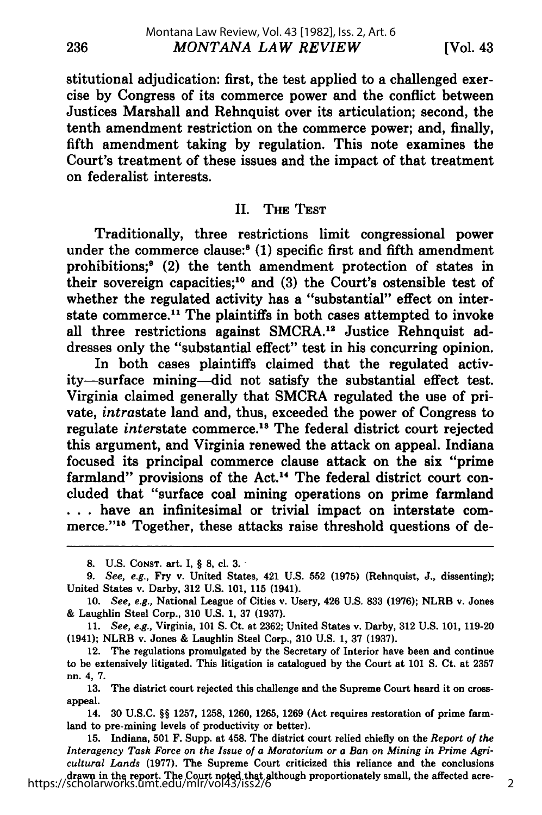stitutional adjudication: first, the test applied to a challenged exercise by Congress of its commerce power and the conflict between Justices Marshall and Rehnquist over its articulation; second, the tenth amendment restriction on the commerce power; and, finally, fifth amendment taking by regulation. This note examines the Court's treatment of these issues and the impact of that treatment on federalist interests.

#### II. THE TEST

Traditionally, three restrictions limit congressional power under the commerce clause:<sup>8</sup> (1) specific first and fifth amendment prohibitions;<sup>9</sup> (2) the tenth amendment protection of states in their sovereign capacities;<sup>10</sup> and (3) the Court's ostensible test of whether the regulated activity has a "substantial" effect on interstate commerce.<sup>11</sup> The plaintiffs in both cases attempted to invoke all three restrictions against SMCRA.<sup>12</sup> Justice Rehnquist addresses only the "substantial effect" test in his concurring opinion.

In both cases plaintiffs claimed that the regulated activity-surface mining-did not satisfy the substantial effect test. Virginia claimed generally that SMCRA regulated the use of private, *intrastate* land and, thus, exceeded the power of Congress to regulate *interstate* commerce.<sup>13</sup> The federal district court rejected this argument, and Virginia renewed the attack on appeal. Indiana focused its principal commerce clause attack on the six "prime farmland" provisions of the Act.<sup>14</sup> The federal district court concluded that "surface coal mining operations on prime farmland **...** have an infinitesimal or trivial impact on interstate commerce."<sup>15</sup> Together, these attacks raise threshold questions of de-

**<sup>8.</sup> U.S. CONST.** art. I, § **8,** ci. **3. -**

*<sup>9.</sup> See, e.g.,* Fry v. United States, 421 U.S. 552 (1975) (Rehnquist, J., dissenting); United States v. Darby, 312 U.S. 101, 115 (1941).

<sup>10.</sup> *See, e.g.,* National League of Cities v. Usery, 426 U.S. **833** (1976); NLRB v. Jones & Laughlin Steel Corp., 310 U.S. 1, 37 **(1937).**

<sup>11.</sup> *See, e.g.,* Virginia, 101 **S.** Ct. at 2362; United States v. Darby, 312 U.S. 101, 119-20 (1941); NLRB v. Jones & Laughlin Steel Corp., 310 U.S. 1, 37 (1937).

<sup>12.</sup> The regulations promulgated by the Secretary of Interior have been and continue to be extensively litigated. This litigation is catalogued by the Court at 101 **S.** Ct. at 2357 nn. 4, 7.

<sup>13.</sup> The district court rejected this challenge and the Supreme Court heard it on crossappeal.

<sup>14. 30</sup> U.S.C. §§ 1257, 1258, 1260, 1265, 1269 (Act requires restoration of prime farmland to pre-mining levels of productivity or better).

<sup>15.</sup> Indiana, 501 F. Supp. at 458. The district court relied chiefly on the *Report of the Interagency Task Force on the Issue of a Moratorium or a Ban on Mining in Prime Agricultural Lands* (1977). The Supreme Court criticized this reliance and the conclusions drawn in the report. The Court noted that although proportionately small, the affected acre-https://scholarworks.umt.edu/mlr/vol43/iss2/6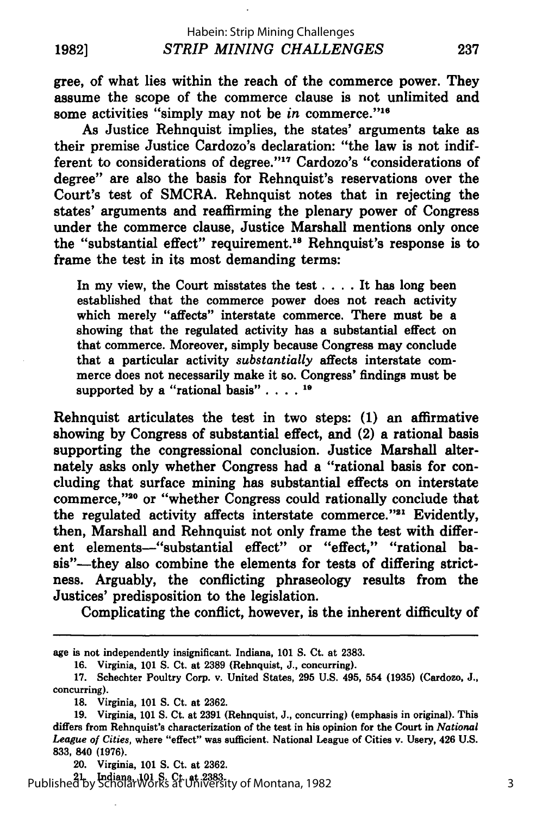gree, of what lies within the reach of the commerce power. They assume the scope of the commerce clause is not unlimited and some activities "simply may not be *in* commerce."<sup>16</sup>

As Justice Rehnquist implies, the states' arguments take as their premise Justice Cardozo's declaration: "the law is not indifferent to considerations of degree."<sup>17</sup> Cardozo's "considerations of degree" are also the basis for Rehnquist's reservations over the Court's test of SMCRA. Rehnquist notes that in rejecting the states' arguments and reaffirming the plenary power of Congress under the commerce clause, Justice Marshall mentions only once the "substantial effect" requirement.<sup>18</sup> Rehnquist's response is to frame the test in its most demanding terms:

In my view, the Court misstates the test .... It has long been established that the commerce power does not reach activity which merely "affects" interstate commerce. There must be a showing that the regulated activity has a substantial effect on that commerce. Moreover, simply because Congress may conclude that a particular activity *substantially* affects interstate commerce does not necessarily make it so. Congress' findings must be supported **by** a "rational basis" **. . . .10**

Rehnquist articulates the test in two steps: **(1)** an affirmative showing **by** Congress of substantial effect, and (2) a rational basis supporting the congressional conclusion. Justice Marshall alternately asks only whether Congress had a "rational basis for concluding that surface mining has substantial effects on interstate commerce,"20 or "whether Congress could rationally conclude that the regulated activity affects interstate commerce."<sup>21</sup> Evidently, then, Marshall and Rehnquist not only frame the test with different elements--"substantial effect" or "effect," "rational basis"-they also combine the elements for tests of differing strictness. Arguably, the conflicting phraseology results from the Justices' predisposition to the legislation.

Complicating the conflict, however, is the inherent difficulty of

20. Virginia, **101 S.** Ct. at **2362.**

21. Indiana, **101 S.** Ct. at **2383.** Published by ScholarWorks at University of Montana, 1982

age is not independently insignificant. Indiana, **101 S.** Ct. at **2383.**

**<sup>16.</sup>** Virginia, **101 S.** Ct. at **2389** (Rehnquist, **J.,** concurring).

**<sup>17.</sup>** Schechter Poultry Corp. v. United States, **295 U.S.** 495, 554 **(1935)** (Cardozo, **J.,** concurring).

**<sup>18.</sup>** Virginia, **101 S.** Ct. at **2362.**

**<sup>19.</sup>** Virginia, **101 S.** Ct. at **2391** (Rehnquist, **J.,** concurring) (emphasis in original). This differs from Rehnquist's characterization of the test in his opinion for the Court in *National League of Cities,* where "effect" was sufficient. National League of Cities v. Usery, 426 **U.S. 833,** 840 **(1976).**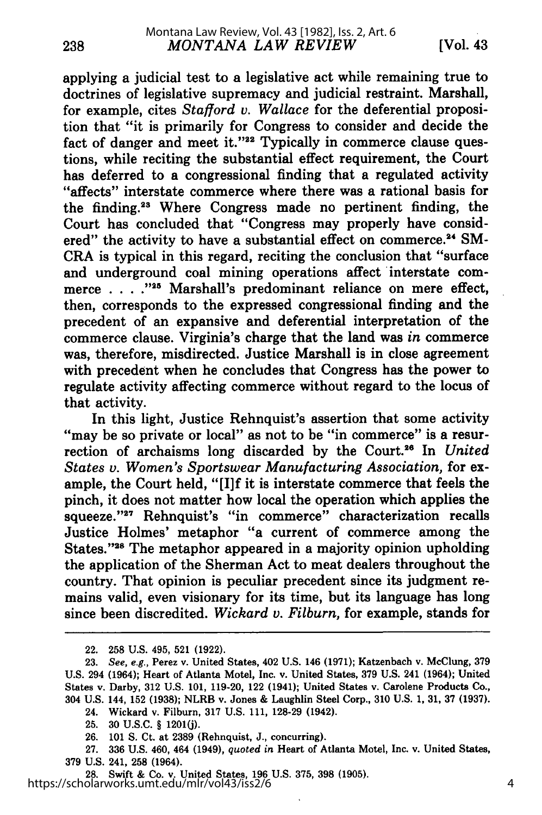applying a judicial test to a legislative act while remaining true to doctrines of legislative supremacy and judicial restraint. Marshall, for example, cites *Stafford v. Wallace* for the deferential proposition that "it is primarily for Congress to consider and decide the fact of danger and meet it." $22$  Typically in commerce clause questions, while reciting the substantial effect requirement, the Court has deferred to a congressional finding that a regulated activity "affects" interstate commerce where there was a rational basis for the finding.23 Where Congress made no pertinent finding, the Court has concluded that "Congress may properly have considered" the activity to have a substantial effect on commerce.<sup>24</sup> SM-CRA is typical in this regard, reciting the conclusion that "surface and underground coal mining operations affect interstate commerce . . .<sup>.</sup>.<sup>225</sup> Marshall's predominant reliance on mere effect, then, corresponds to the expressed congressional finding and the precedent of an expansive and deferential interpretation of the commerce clause. Virginia's charge that the land was *in* commerce was, therefore, misdirected. Justice Marshall is in close agreement with precedent when he concludes that Congress has the power to regulate activity affecting commerce without regard to the locus of that activity.

In this light, Justice Rehnquist's assertion that some activity "may be so private or local" as not to be "in commerce" is a resurrection of archaisms long discarded by the Court.<sup>26</sup> In *United States v. Women's Sportswear Manufacturing Association,* for example, the Court held, "[I]f it is interstate commerce that feels the pinch, it does not matter how local the operation which applies the squeeze. **"27** Rehnquist's "in commerce" characterization recalls Justice Holmes' metaphor "a current of commerce among the States."<sup>28</sup> The metaphor appeared in a majority opinion upholding the application of the Sherman Act to meat dealers throughout the country. That opinion is peculiar precedent since its judgment remains valid, even visionary for its time, but its language has long since been discredited. *Wickard v. Filburn,* for example, stands for

238

**28.** Swift & Co. v. United States, **196** U.S. **375, 398 (1905).** https://scholarworks.umt.edu/mlr/vol43/iss2/6

<sup>22. 258</sup> U.S. 495, 521 (1922).

<sup>23.</sup> *See, e.g.,* Perez v. United States, 402 U.S. 146 (1971); Katzenbach v. McClung, 379 U.S. 294 (1964); Heart of Atlanta Motel, Inc. v. United States, 379 U.S. 241 (1964); United States v. Darby, 312 U.S. 101, 119-20, 122 (1941); United States v. Carolene Products Co., 304 U.S. 144, 152 (1938); NLRB v. Jones & Laughlin Steel Corp., 310 U.S. 1, 31, 37 (1937).

<sup>24.</sup> Wickard v. Filburn, 317 U.S. 111, 128-29 (1942).

**<sup>25. 30</sup> U.S.C.** § **1201(j).**

**<sup>26.</sup>** 101 **S.** Ct. at **2389** (Rehnquist, J., concurring).

**<sup>27. 336</sup>** U.S. 460, 464 (1949), *quoted in* Heart of Atlanta Motel, Inc. v. United States, **379** U.S. 241, **258** (1964).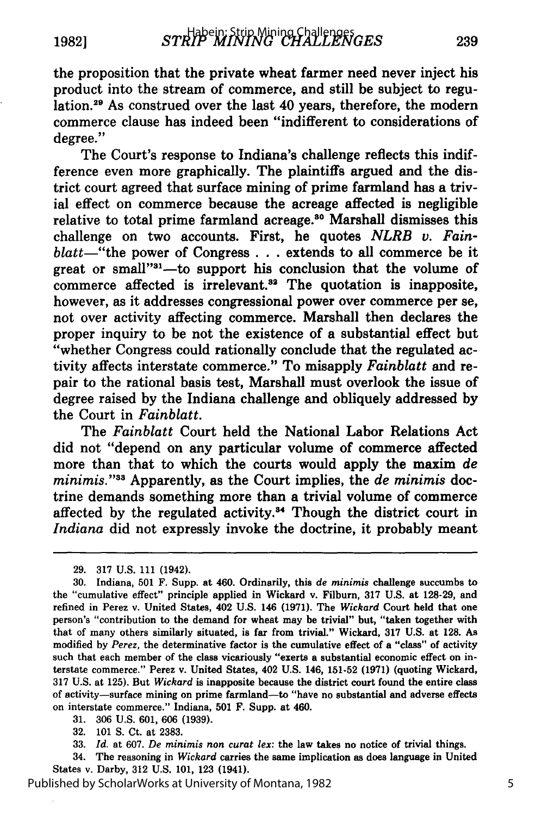239

the proposition that the private wheat farmer need never inject his product into the stream of commerce, and still be subject to regulation.29 As construed over the last 40 years, therefore, the modern commerce clause has indeed been "indifferent to considerations of degree."

The Court's response to Indiana's challenge reflects this indifference even more graphically. The plaintiffs argued and the district court agreed that surface mining of prime farmland has a trivial effect on commerce because the acreage affected is negligible relative to total prime farmland acreage.<sup>30</sup> Marshall dismisses this challenge on two accounts. First, he quotes *NLRB v. Fainblatt-"the* power of Congress **. . .** extends to all commerce be it great or small"<sup>31</sup>—to support his conclusion that the volume of commerce affected is irrelevant.<sup>32</sup> The quotation is inapposite, however, as it addresses congressional power over commerce per se, not over activity affecting commerce. Marshall then declares the proper inquiry to be not the existence of a substantial effect but "whether Congress could rationally conclude that the regulated activity affects interstate commerce." To misapply *Fainblatt* and repair to the rational basis test, Marshall must overlook the issue of degree raised **by** the Indiana challenge and obliquely addressed **by** the Court in *Fainblatt.*

The *Fainblatt* Court held the National Labor Relations Act did not "depend on any particular volume of commerce affected more than that to which the courts would apply the maxim *de minimis.*"<sup>33</sup> Apparently, as the Court implies, the *de minimis* doctrine demands something more than a trivial volume of commerce affected by the regulated activity.<sup>34</sup> Though the district court in *Indiana* did not expressly invoke the doctrine, it probably meant

**31. 306 U.S. 601, 606 (1939).**

34. The reasoning in *Wickard* carries the same implication as does language in United States v. Darby, **312 U.S. 101, 123** (1941).

Published by ScholarWorks at University of Montana, 1982

**<sup>29. 317</sup> U.S. 111** (1942).

**<sup>30.</sup>** Indiana, **501** F. Supp. at 460. Ordinarily, this *de minimis* challenge succumbs to the "cumulative effect" principle applied in Wickard v. Filburn, **317 U.S.** at **128-29,** and refined in Perez v. United States, 402 **U.S.** 146 **(1971).** The *Wickard* Court held that one person's "contribution to the demand for wheat may be trivial" but, "taken together with that of many others similarly situated, is far from trivial." Wickard, **317 U.S.** at **128.** As modified **by** *Perez,* the determinative factor is the cumulative effect of a "class" of activity such that each member of the class vicariously "exerts a substantial economic effect on interstate commerce." Perez v. United States, 402 **U.S.** 146, **151-52 (1971)** (quoting Wickard, **317 U.S.** at **125).** But *Wickard* is inapposite because the district court found the entire class of activity-surface mining on prime farmland-to "have **no** substantial and adverse effects on interstate commerce." Indiana, **501** F. Supp. at 460.

**<sup>32. 101</sup> S.** Ct. at **2383.**

**<sup>33.</sup>** *Id.* at **607.** *De minimis non curat lex:* the law takes no notice of trivial things.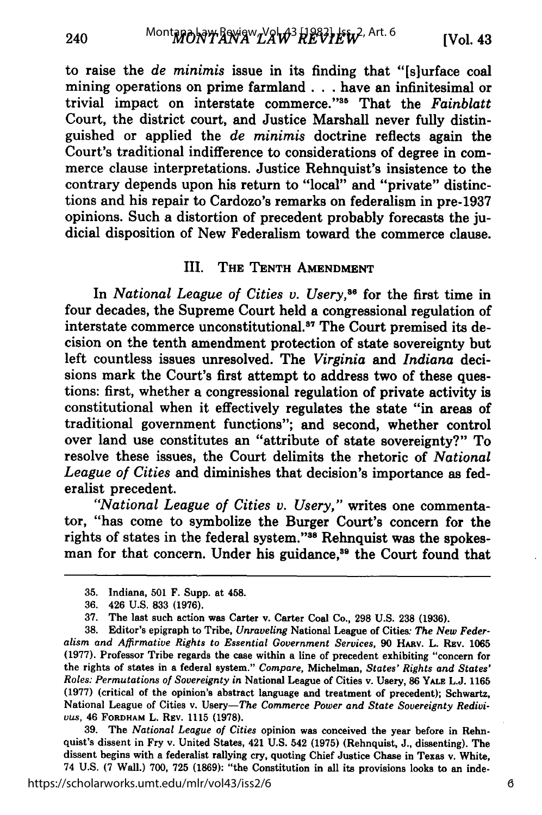to raise the *de minimis* issue in its finding that "[slurface coal mining operations on prime farmland. **. .** have an infinitesimal or trivial impact on interstate commerce."<sup>35</sup> That the *Fainblatt* Court, the district court, and Justice Marshall never fully distinguished or applied the *de minimis* doctrine reflects again the Court's traditional indifference to considerations of degree in commerce clause interpretations. Justice Rehnquist's insistence to the contrary depends upon his return to "local" and "private" distinctions and his repair to Cardozo's remarks on federalism in pre-1937 opinions. Such a distortion of precedent probably forecasts the judicial disposition of New Federalism toward the commerce clause.

#### III. **THE TENTH AMENDMENT**

In *National League of Cities v. Usery,86* for the first time in four decades, the Supreme Court held a congressional regulation of interstate commerce unconstitutional.<sup>37</sup> The Court premised its decision on the tenth amendment protection of state sovereignty but left countless issues unresolved. The *Virginia* and *Indiana* decisions mark the Court's first attempt to address two of these questions: first, whether a congressional regulation of private activity is constitutional when it effectively regulates the state "in areas of traditional government functions"; and second, whether control over land use constitutes an "attribute of state sovereignty?" To resolve these issues, the Court delimits the rhetoric of *National League of Cities* and diminishes that decision's importance as federalist precedent.

*"National League of Cities v. Usery,"* writes one commentator, "has come to symbolize the Burger Court's concern for the rights of states in the federal system."<sup>38</sup> Rehnquist was the spokesman for that concern. Under his guidance,<sup>39</sup> the Court found that

**39.** The *National League of Cities* opinion was conceived the year before in Rehnquist's dissent in Fry v. United States, 421 **U.S.** 542 **(1975)** (Rehnquist, **J.,** dissenting). The dissent begins with a federalist rallying cry, quoting Chief Justice Chase in Texas v. White, 74 **U.S. (7** Wall.) **700, 725 (1869):** "the Constitution in all its provisions looks to an inde-

<sup>35.</sup> Indiana, 501 F. Supp. at 458.

**<sup>36.</sup>** 426 U.S. **833** (1976).

**<sup>37.</sup>** The last such action was Carter v. Carter Coal Co,, **298 U.S. 238 (1936).**

**<sup>38.</sup>** Editor's epigraph to Tribe, *Unraveling* National League of Cities: *The New Federalism and Affirmative Rights to Essential Government Services,* **90** HAv. L. **REV. 1065 (1977).** Professor Tribe regards the case within a line of precedent exhibiting "concern for the rights of states in a federal system." *Compare,* Michelman, *States' Rights and States' Roles: Permutations of Sovereignty in* National League of Cities v. Usery, 86 **YALE L.J. 1165 (1977)** (critical of the opinion's abstract language and treatment of precedent); Schwartz, National League of Cities v. Usery-The *Commerce Power and State Sovereignty Redivivus,* 46 **FORDHAM L. REV.** 1115 **(1978).**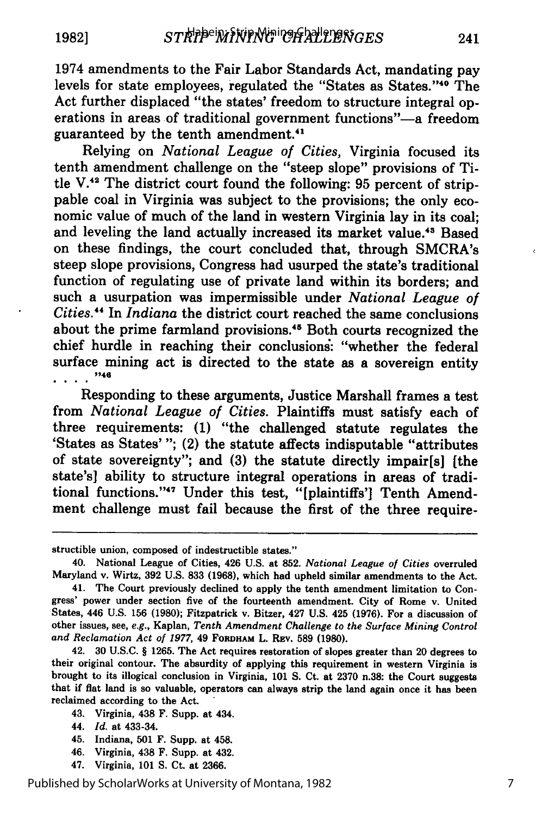1974 amendments to the Fair Labor Standards Act, mandating pay

241

levels for state employees, regulated the "States as States."<sup>40</sup> The Act further displaced "the states' freedom to structure integral operations in areas of traditional government functions"-a freedom guaranteed by the tenth amendment."'

Relying on *National League of Cities,* Virginia focused its tenth amendment challenge on the "steep slope" provisions of Title V.<sup>42</sup> The district court found the following: 95 percent of strippable coal in Virginia was subject to the provisions; the only economic value of much of the land in western Virginia lay in its coal; and leveling the land actually increased its market value.<sup>43</sup> Based on these findings, the court concluded that, through SMCRA's steep slope provisions, Congress had usurped the state's traditional function of regulating use of private land within its borders; and such a usurpation was impermissible under *National League of Cities.4* In *Indiana* the district court reached the same conclusions about the prime farmland provisions.45 Both courts recognized the chief hurdle in reaching their conclusions: "whether the federal surface mining act is directed to the state as a sovereign entity  $\dots$  . "

Responding to these arguments, Justice Marshall frames a test from *National League of Cities.* Plaintiffs must satisfy each of three requirements: (1) "the challenged statute regulates the 'States as States' *";* (2) the statute affects indisputable "attributes of state sovereignty"; and (3) the statute directly impair[s] [the state's] ability to structure integral operations in areas of traditional functions."<sup>47</sup> Under this test, "[plaintiffs'] Tenth Amendment challenge must fail because the first of the three require-

structible union, composed of indestructible states."

- 43. Virginia, 438 F. Supp. at 434.
- 44. *Id.* at 433-34.
- 45. Indiana, **501** F. Supp. at 458.
- 46. Virginia, 438 F. Supp. at 432.
- 47. Virginia, **101 S.** Ct. at **2366.**

Published by ScholarWorks at University of Montana, 1982

<sup>40.</sup> National League of Cities, 426 U.S. at 852. *National League of Cities* overruled Maryland v. Wirtz, 392 U.S. 833 (1968), which had upheld similar amendments to the Act.

<sup>41.</sup> The Court previously declined to apply the tenth amendment limitation to Congress' power under section five of the fourteenth amendment. City of Rome v. United States, 446 U.S. 156 (1980); Fitzpatrick v. Bitzer, 427 U.S. 425 (1976). For a discussion of other issues, see, *e.g.,* Kaplan, *Tenth Amendment Challenge to the Surface Mining Control and Reclamation Act of 1977,* 49 FORDHAM L. **REv. 589 (1980).**

<sup>42.</sup> **30 U.S.C.** § **1265.** The Act requires restoration of slopes greater than 20 degrees to their original contour. The absurdity of applying this requirement in western Virginia is brought to its illogical conclusion in Virginia, **101 S.** Ct. at **2370** n.38: the Court suggests that if flat land is so valuable, operators can always strip the land again once it has been reclaimed according to the Act.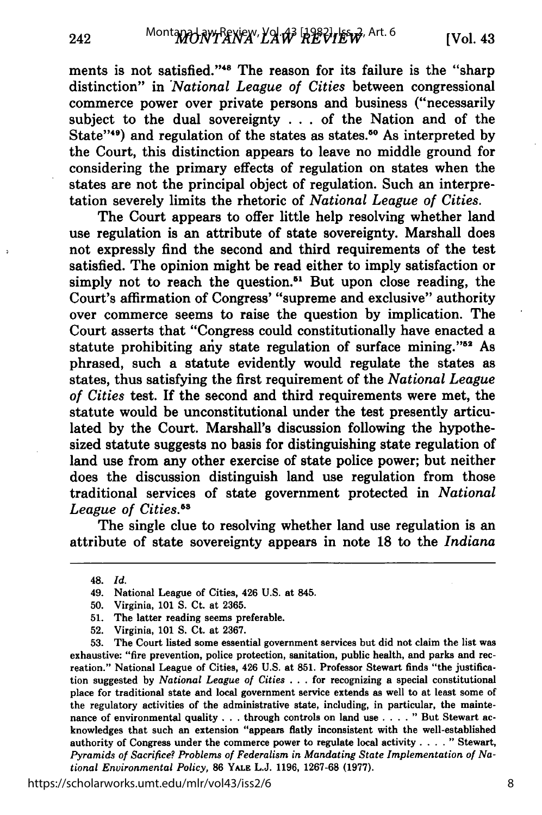ments is not satisfied."<sup>48</sup> The reason for its failure is the "sharp distinction" in *'National League of Cities* between congressional commerce power over private persons and business ("necessarily subject to the dual sovereignty . . . of the Nation and of the State"<sup>49</sup>) and regulation of the states as states.<sup>50</sup> As interpreted by the Court, this distinction appears to leave no middle ground for considering the primary effects of regulation on states when the states are not the principal object of regulation. Such an interpretation severely limits the rhetoric of *National League of Cities.*

The Court appears to offer little help resolving whether land use regulation is an attribute of state sovereignty. Marshall does not expressly find the second and third requirements of the test satisfied. The opinion might be read either to imply satisfaction or simply not to reach the question.<sup>51</sup> But upon close reading, the Court's affirmation of Congress' "supreme and exclusive" authority over commerce seems to raise the question **by** implication. The Court asserts that "Congress could constitutionally have enacted a statute prohibiting any state regulation of surface mining. **' 52** As phrased, such a statute evidently would regulate the states as states, thus satisfying the first requirement of the *National League of Cities* test. If the second and third requirements were met, the statute would be unconstitutional under the test presently articulated **by** the Court. Marshall's discussion following the hypothesized statute suggests no basis for distinguishing state regulation of land use from any other exercise of state police power; but neither does the discussion distinguish land use regulation from those traditional services of state government protected in *National League of Cities.8*

The single clue to resolving whether land use regulation is an attribute of state sovereignty appears in note **18** to the *Indiana*

**53.** The Court listed some essential government services but did not claim the list was exhaustive: "fire prevention, police protection, sanitation, public health, and parks and recreation." National League of Cities, 426 **U.S.** at **851.** Professor Stewart finds "the justification suggested **by** *National League of Cities* **. . .** for recognizing a special constitutional place for traditional state and local government service extends as well to at least some of the regulatory activities of the administrative state, including, in particular, the maintenance of environmental quality **. . .**through controls on land use .... " But Stewart acknowledges that such an extension "appears flatly inconsistent with the well-established authority of Congress under the commerce power to regulate local activity **....** " Stewart, *Pyramids of Sacrifice? Problems of Federalism in Mandating State Implementation of National Environmental Policy,* **86 YALE L.J. 1196, 1267-68 (1977).**

https://scholarworks.umt.edu/mlr/vol43/iss2/6

<sup>48.</sup> *Id.*

<sup>49.</sup> National League of Cities, 426 **U.S.** at 845.

**<sup>50.</sup>** Virginia, **101 S.** Ct. at **2365.**

**<sup>51.</sup>** The latter reading seems preferable.

**<sup>52.</sup>** Virginia, **101 S.** Ct. at **2367.**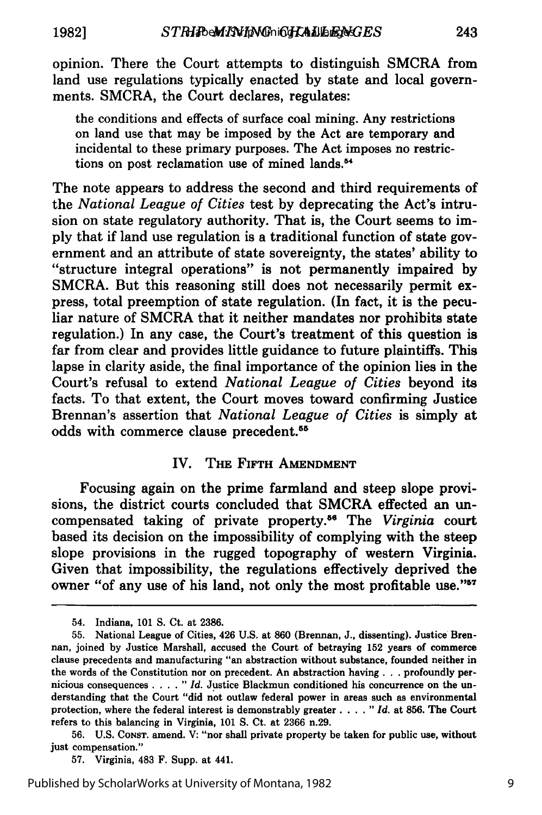**1982]**

opinion. There the Court attempts to distinguish SMCRA from land use regulations typically enacted **by** state and local governments. SMCRA, the Court declares, regulates:

the conditions and effects of surface coal mining. Any restrictions on land use that may be imposed **by** the Act are temporary and incidental to these primary purposes. The Act imposes no restrictions on post reclamation use of mined lands.<sup>54</sup>

The note appears to address the second and third requirements of the *National League of Cities* test **by** deprecating the Act's intrusion on state regulatory authority. That is, the Court seems to im**ply** that if land use regulation is a traditional function of state government and an attribute of state sovereignty, the states' ability to "structure integral operations" is not permanently impaired **by** SMCRA. But this reasoning still does not necessarily permit express, total preemption of state regulation. (In fact, it is the peculiar nature of SMCRA that it neither mandates nor prohibits state regulation.) In any case, the Court's treatment of this question is far from clear and provides little guidance to future plaintiffs. This lapse in clarity aside, the final importance of the opinion lies in the Court's refusal to extend *National League of Cities* beyond its facts. To that extent, the Court moves toward confirming Justice Brennan's assertion that *National League of Cities* is simply at odds with commerce clause precedent.<sup>55</sup>

#### IV. **THE FIFTH AMENDMENT**

Focusing again on the prime farmland and steep slope provisions, the district courts concluded that SMCRA effected an uncompensated taking of private property. 6 The *Virginia* court based its decision on the impossibility of complying with the steep slope provisions in the rugged topography of western Virginia. Given that impossibility, the regulations effectively deprived the owner "of any use of his land, not only the most profitable use."<sup>57</sup>

**57.** Virginia, 483 F. Supp. at 441.

<sup>54.</sup> Indiana, 101 **S.** Ct. at 2386.

**<sup>55.</sup>** National League of Cities, 426 U.S. at 860 (Brennan, **J.,** dissenting). Justice Brennan, joined **by** Justice Marshall, accused the Court of betraying **152** years of commerce clause precedents and manufacturing "an abstraction without substance, founded neither in the words of the Constitution nor on precedent. An abstraction having. **. .** profoundly pernicious consequences **.** *Id.* Justice Blackmun conditioned his concurrence on the understanding that the Court "did not outlaw federal power in areas such as environmental protection, where the federal interest is demonstrably greater **.** *Id.* at **856.** The Court refers to this balancing in Virginia, **101 S.** Ct. at **2366** n.29.

**<sup>56.</sup> U.S.** CONST. amend. V: "nor shall private property be taken for public use, without just compensation."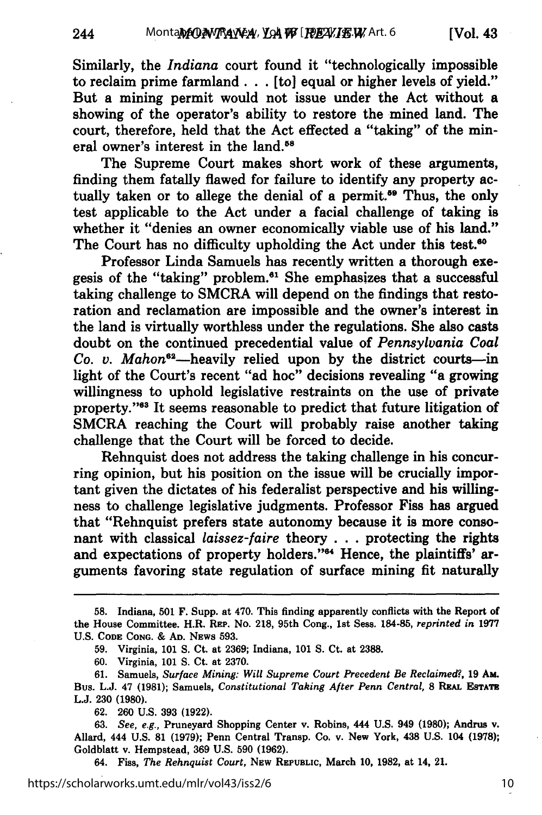244

Similarly, the *Indiana* court found it "technologically impossible to reclaim prime farmland ... [to] equal or higher levels of yield." But a mining permit would not issue under the Act without a showing of the operator's ability to restore the mined land. The court, therefore, held that the Act effected a "taking" of the mineral owner's interest in the land.<sup>58</sup>

The Supreme Court makes short work of these arguments, finding them fatally flawed for failure to identify any property actually taken or to allege the denial of a permit.<sup>59</sup> Thus, the only test applicable to the Act under a facial challenge of taking is whether it "denies an owner economically viable use of his land." The Court has no difficulty upholding the Act under this test.<sup>80</sup>

Professor Linda Samuels has recently written a thorough exegesis of the "taking" problem.<sup>61</sup> She emphasizes that a successful taking challenge to SMCRA will depend on the findings that restoration and reclamation are impossible and the owner's interest in the land is virtually worthless under the regulations. She also casts doubt on the continued precedential value of *Pennsylvania Coal* Co. v. Mahon<sup>62</sup>-heavily relied upon by the district courts-in light of the Court's recent "ad hoc" decisions revealing "a growing willingness to uphold legislative restraints on the use of private property."<sup>83</sup> It seems reasonable to predict that future litigation of SMCRA reaching the Court will probably raise another taking challenge that the Court will be forced to decide.

Rehnquist does not address the taking challenge in his concurring opinion, but his position on the issue will be crucially important given the dictates of his federalist perspective and his willingness to challenge legislative judgments. Professor Fiss has argued that "Rehnquist prefers state autonomy because it is more consonant with classical *laissez-faire* theory . . . protecting the rights and expectations of property holders."<sup>64</sup> Hence, the plaintiffs' arguments favoring state regulation of surface mining fit naturally

64. Fiss, The Rehnquist Court, New Republic, March 10, 1982, at 14, 21.

**<sup>58.</sup>** Indiana, **501** F. Supp. at 470. This finding apparently conflicts with the Report of the House Committee. H.R. REp. No. **218,** 95th Cong., 1st Sess. **184-85,** *reprinted in* **1977 U.S. CODE CONG. & AD. NEws 593.**

**<sup>59.</sup>** Virginia, **101 S.** Ct. at **2369;** Indiana, **101 S.** Ct. at **2388.**

**<sup>60.</sup>** Virginia, **101 S.** Ct. at **2370.**

**<sup>61.</sup>** Samuels, *Surface Mining: Will Supreme Court Precedent Be Reclaimed?,* **19 AM.** Bus. L.J. 47 (1981); Samuels, *Constitutional Taking After Penn Central*, 8 REAL ESTATE L.J. 230 (1980).

<sup>62. 260</sup> U.S. 393 (1922).

<sup>63.</sup> *See, e.g.,* Pruneyard Shopping Center v. Robins, 444 U.S. 949 **(1980);** Andrus v. Allard, 444 U.S. 81 (1979); Penn Central Transp. Co. v. New York, 438 U.S. 104 **(1978);** Goldblatt v. Hempstead, 369 U.S. 590 (1962).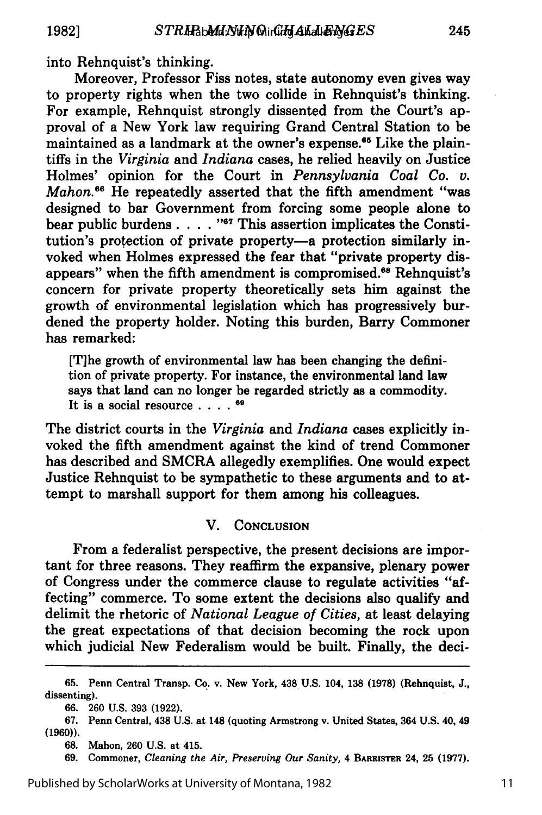into Rehnquist's thinking.

Moreover, Professor Fiss notes, state autonomy even gives way to property rights when the two collide in Rehnquist's thinking. For example, Rehnquist strongly dissented from the Court's approval of a New York law requiring Grand Central Station to be maintained as a landmark at the owner's expense.<sup>65</sup> Like the plaintiffs in the *Virginia* and *Indiana* cases, he relied heavily on Justice Holmes' opinion for the Court in *Pennsylvania Coal Co. v. Mahon.*<sup>66</sup> He repeatedly asserted that the fifth amendment "was designed to bar Government from forcing some people alone to bear public burdens . . . . "<sup>67</sup> This assertion implicates the Constitution's protection of private property-a protection similarly invoked when Holmes expressed the fear that "private property disappears" when the fifth amendment is compromised.<sup>68</sup> Rehnquist's concern for private property theoretically sets him against the growth of environmental legislation which has progressively burdened the property holder. Noting this burden, Barry Commoner has remarked:

[T]he growth of environmental law has been changing the definition of private property. For instance, the environmental land law says that land can no longer be regarded strictly as a commodity. It is a social resource **.... 19**

The district courts in the *Virginia* and *Indiana* cases explicitly invoked the fifth amendment against the kind of trend Commoner has described and SMCRA allegedly exemplifies. One would expect Justice Rehnquist to be sympathetic to these arguments and to attempt to marshall support for them among his colleagues.

### V. **CONCLUSION**

From a federalist perspective, the present decisions are important for three reasons. They reaffirm the expansive, plenary power of Congress under the commerce clause to regulate activities "affecting" commerce. To some extent the decisions also qualify and delimit the rhetoric of *National League of Cities,* at least delaying the great expectations of that decision becoming the rock upon which judicial New Federalism would be built. Finally, the deci-

**69.** Commoner, *Cleaning the Air, Preserving Our Sanity,* 4 **BARRISTER** 24, **25 (1977).**

**<sup>65.</sup>** Penn Central Transp. Co. v. New York, 438. **U.S.** 104, **138 (1978)** (Rehnquist, **J.,** dissenting).

**<sup>66. 260</sup> U.S. 393 (1922).**

**<sup>67.</sup>** Penn Central, 438 **U.S.** at 148 (quoting Armstrong v. United States, 364 **U.S.** 40, 49 **(1960)).**

**<sup>68.</sup>** Mahon, **260 U.S.** at 415.